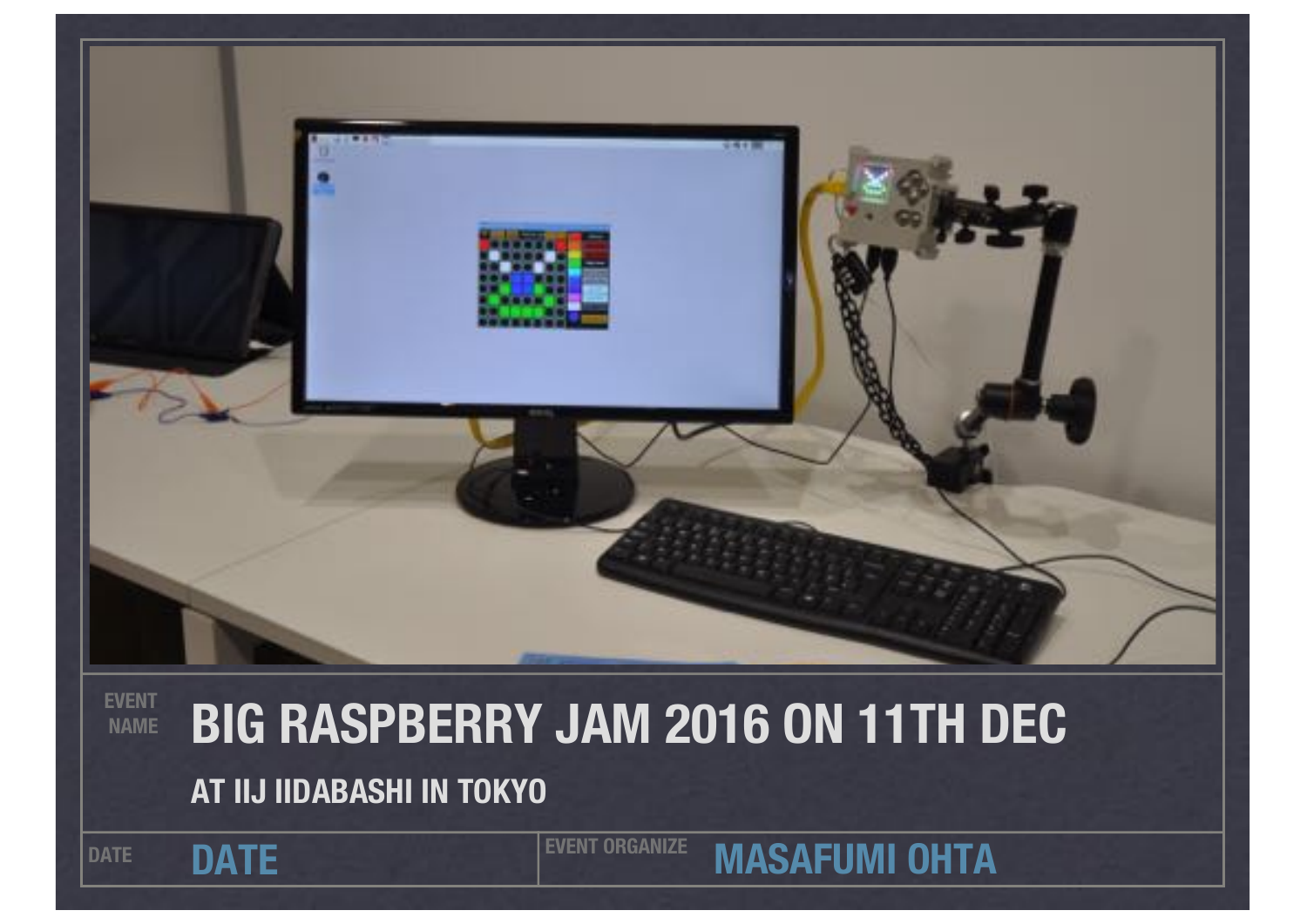

#### **EVENT NAME BIG RASPBERRY JAM 2016 ON 11TH DEC AT IIJ IIDABASHI IN TOKYO**

DATE **DATE EVENT ORGANIZE** 

**MASAFUMI OHTA**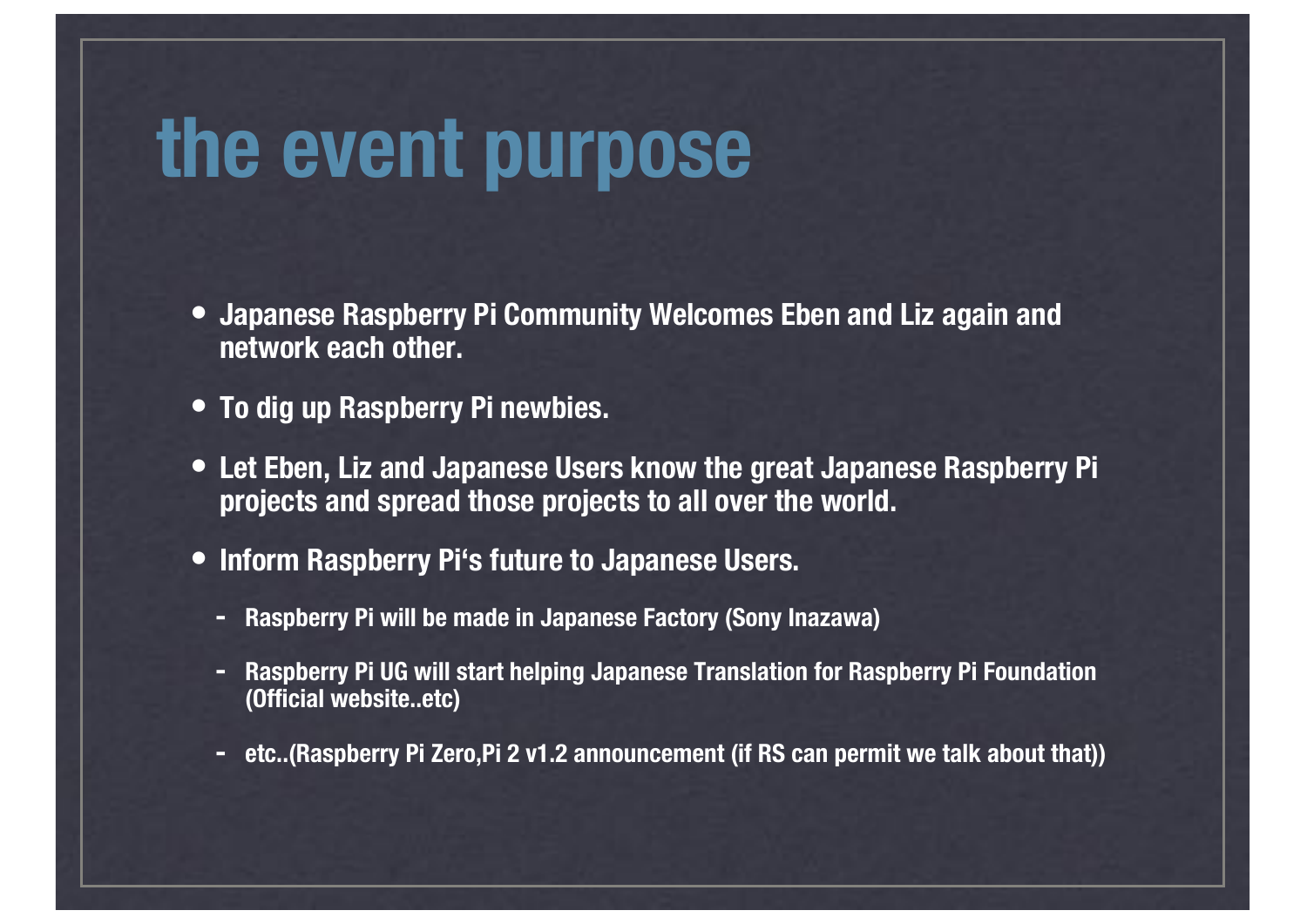### **the event purpose**

- **• Japanese Raspberry Pi Community Welcomes Eben and Liz again and network each other.**
- **• To dig up Raspberry Pi newbies.**
- **• Let Eben, Liz and Japanese Users know the great Japanese Raspberry Pi projects and spread those projects to all over the world.**
- **• Inform Raspberry Pi's future to Japanese Users.**
	- **- Raspberry Pi will be made in Japanese Factory (Sony Inazawa)**
	- **- Raspberry Pi UG will start helping Japanese Translation for Raspberry Pi Foundation (Official website..etc)**
	- **- etc..(Raspberry Pi Zero,Pi 2 v1.2 announcement (if RS can permit we talk about that))**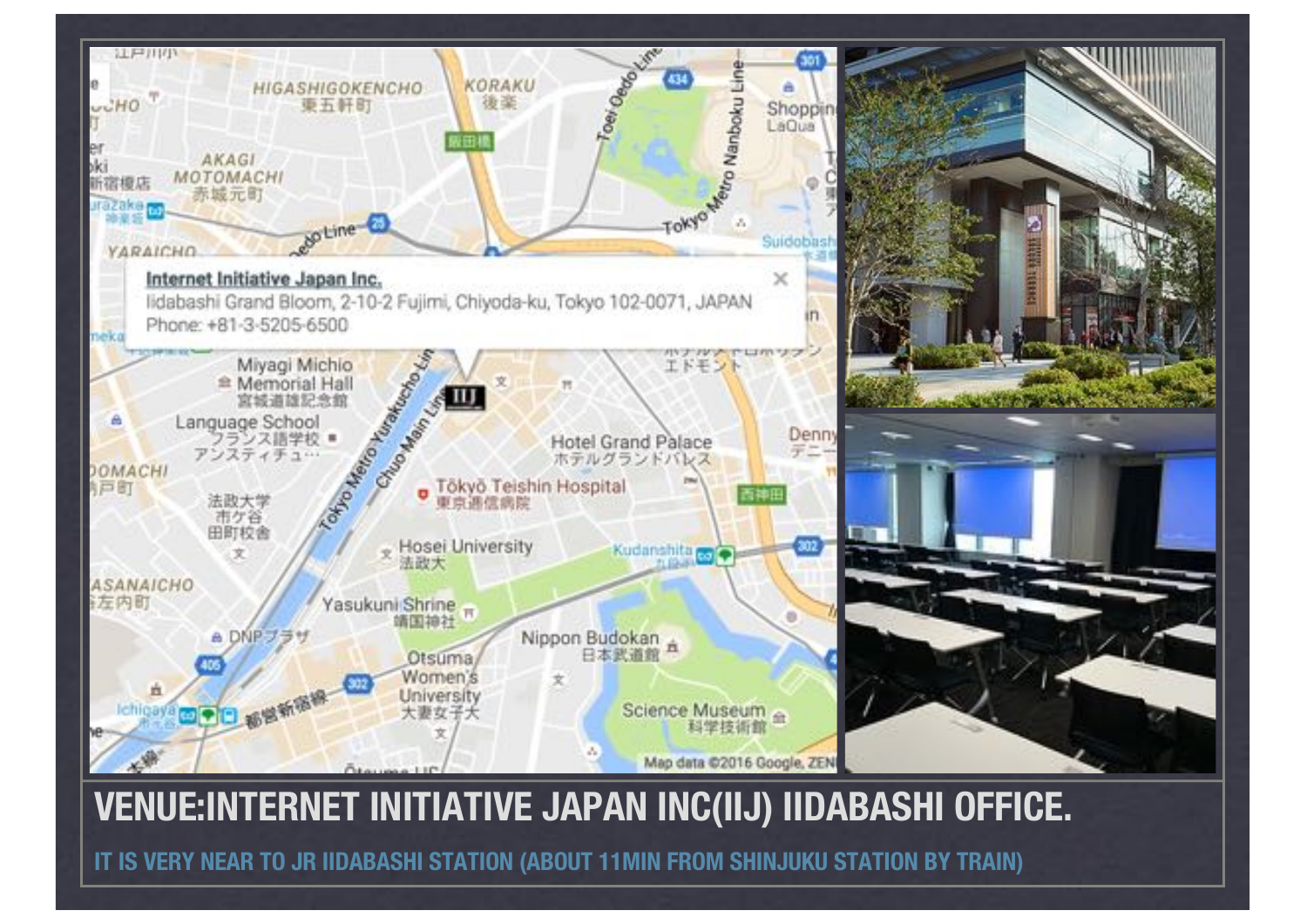

#### **VENUE:INTERNET INITIATIVE JAPAN INC(IIJ) IIDABASHI OFFICE.**

**IT IS VERY NEAR TO JR IIDABASHI STATION (ABOUT 11MIN FROM SHINJUKU STATION BY TRAIN)**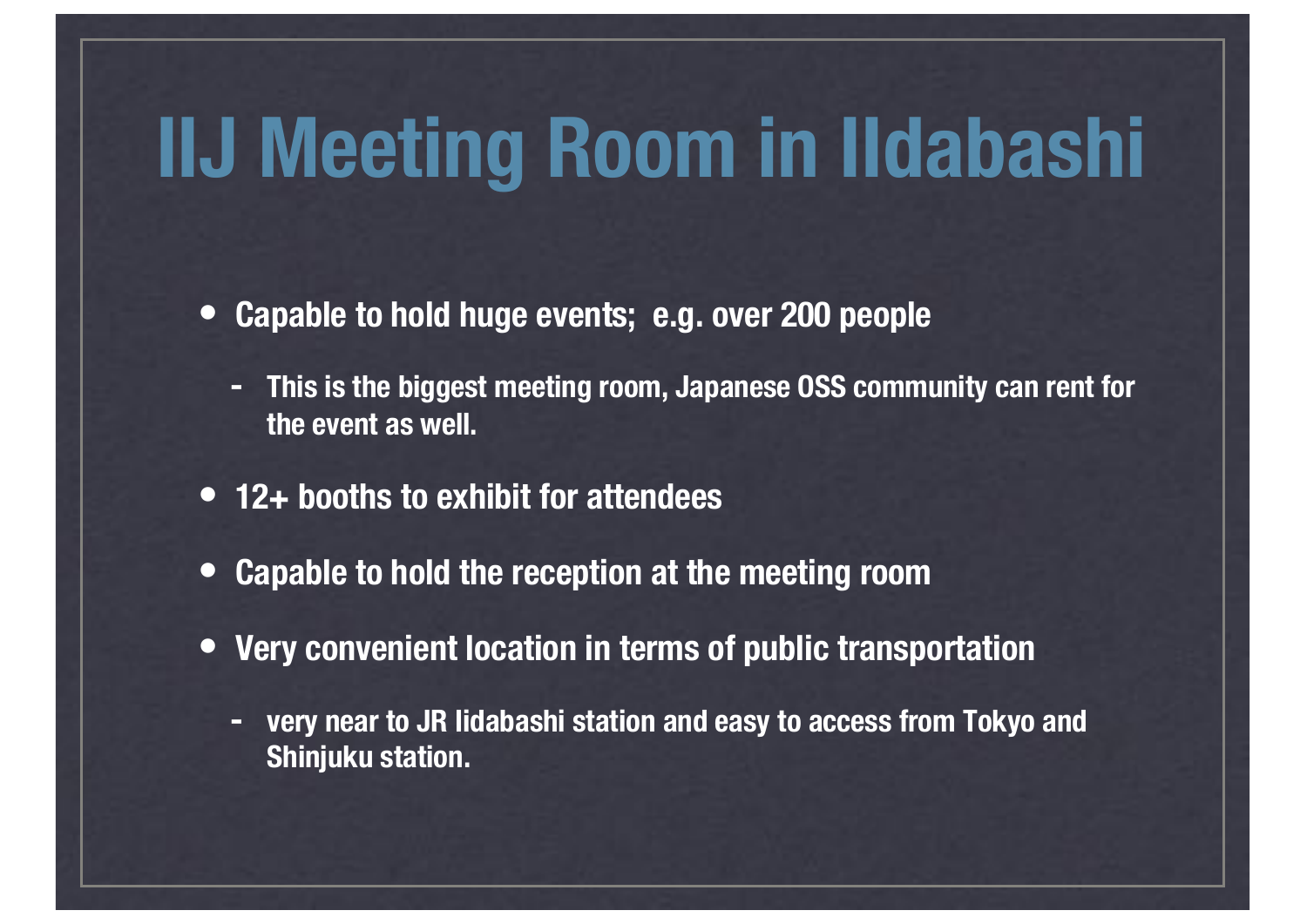### **IIJ Meeting Room in IIdabashi**

- **• Capable to hold huge events; e.g. over 200 people** 
	- **- This is the biggest meeting room, Japanese OSS community can rent for the event as well.**
- **• 12+ booths to exhibit for attendees**
- **• Capable to hold the reception at the meeting room**
- **• Very convenient location in terms of public transportation**
	- **- very near to JR Iidabashi station and easy to access from Tokyo and Shinjuku station.**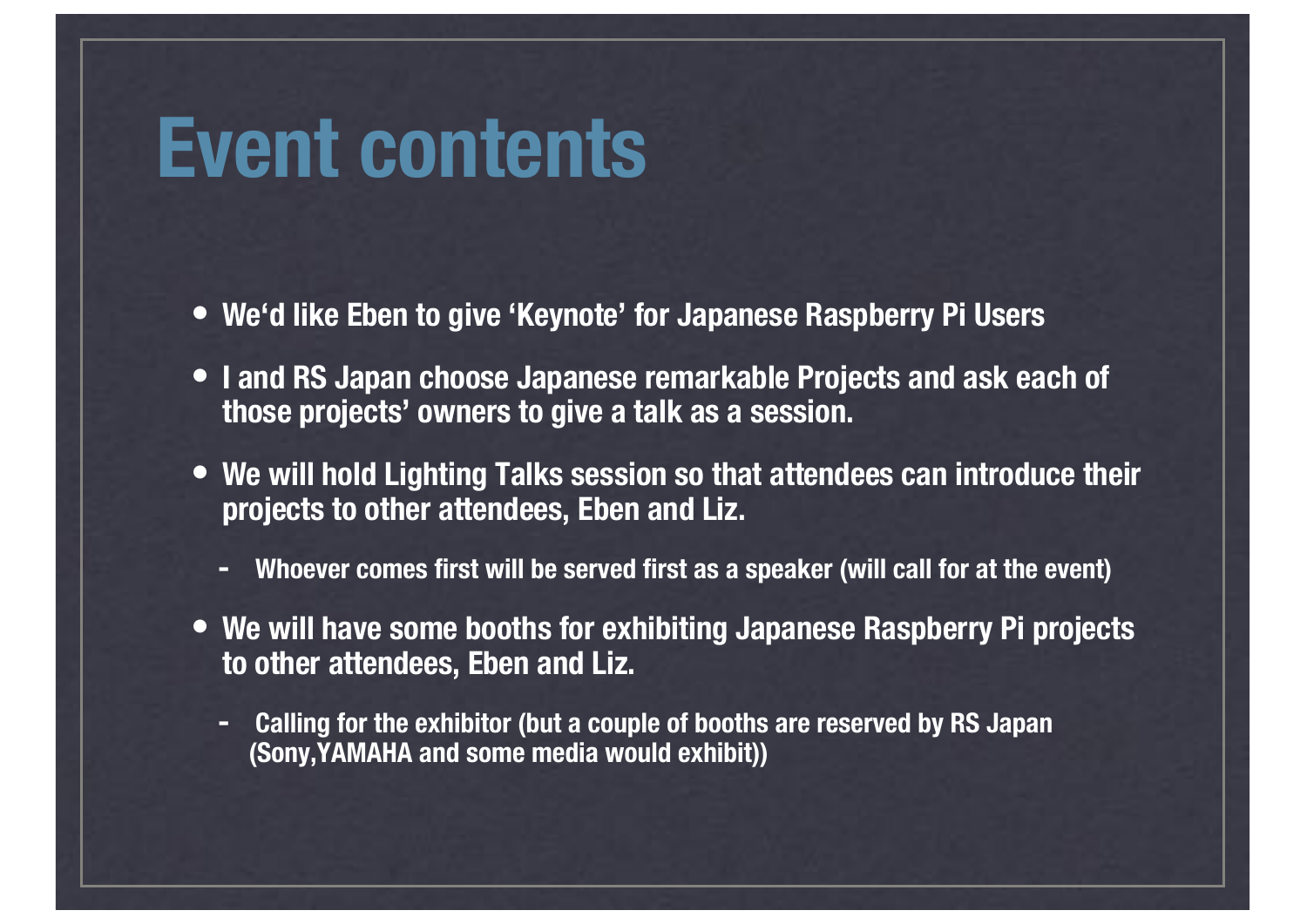### **Event contents**

- **• We'd like Eben to give 'Keynote' for Japanese Raspberry Pi Users**
- **• I and RS Japan choose Japanese remarkable Projects and ask each of those projects' owners to give a talk as a session.**
- **• We will hold Lighting Talks session so that attendees can introduce their projects to other attendees, Eben and Liz.**
	- **- Whoever comes first will be served first as a speaker (will call for at the event)**
- **• We will have some booths for exhibiting Japanese Raspberry Pi projects to other attendees, Eben and Liz.**
	- **- Calling for the exhibitor (but a couple of booths are reserved by RS Japan (Sony,YAMAHA and some media would exhibit))**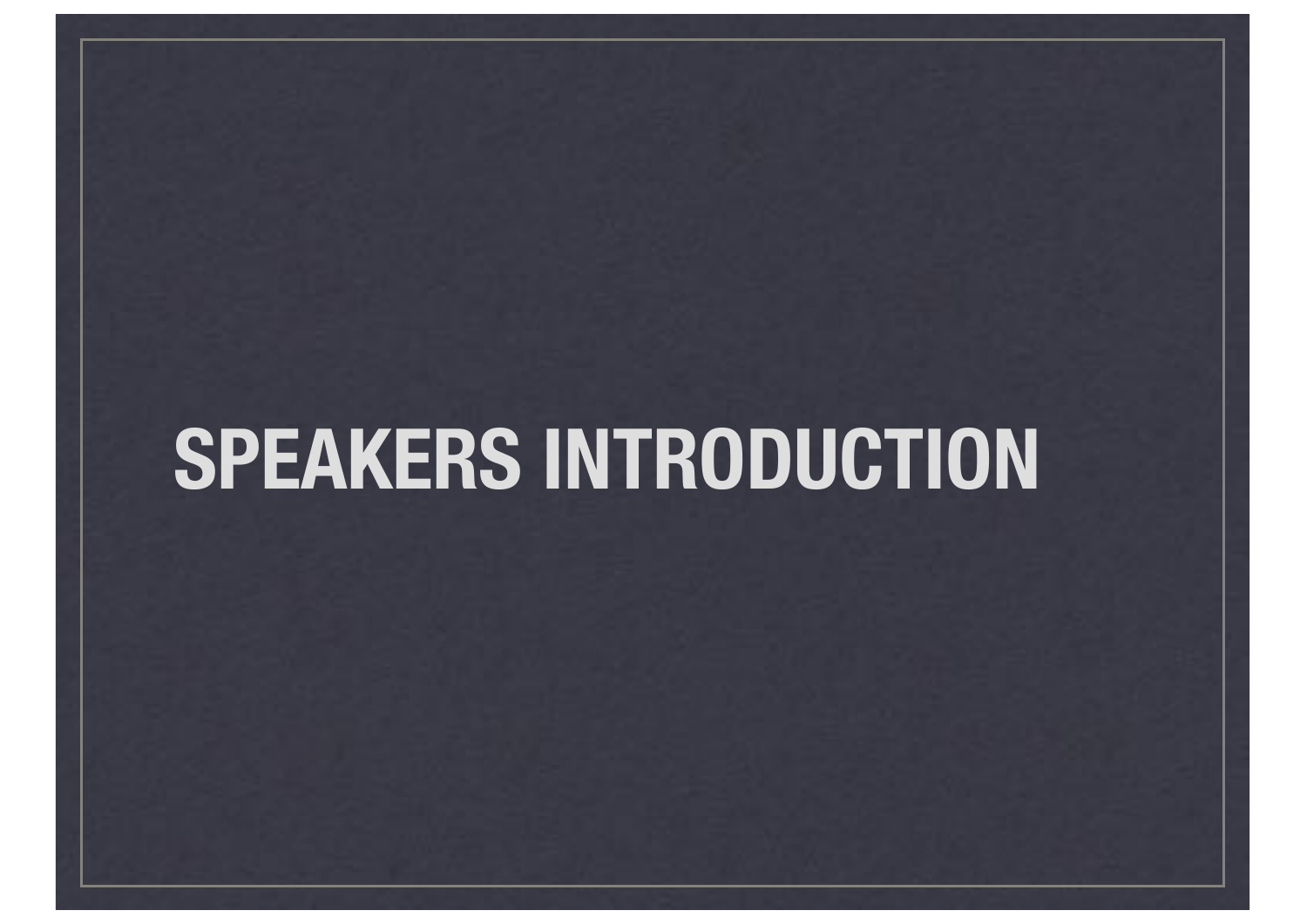## **SPEAKERS INTRODUCTION**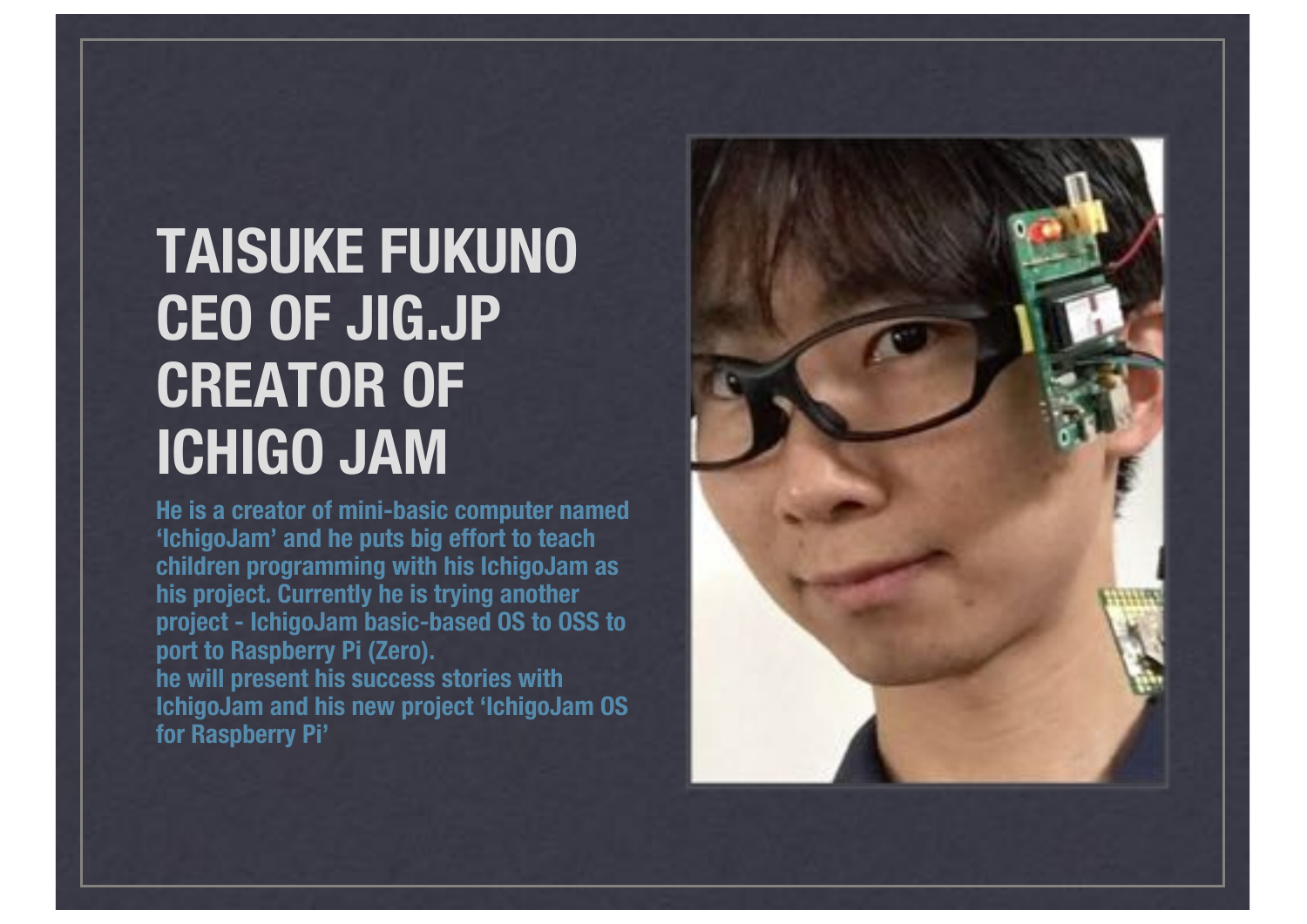#### **TAISUKE FUKUNO CEO OF JIG.JP CREATOR OF ICHIGO JAM**

**He is a creator of mini-basic computer named 'IchigoJam' and he puts big effort to teach children programming with his IchigoJam as his project. Currently he is trying another project - IchigoJam basic-based OS to OSS to port to Raspberry Pi (Zero). he will present his success stories with IchigoJam and his new project 'IchigoJam OS for Raspberry Pi'**

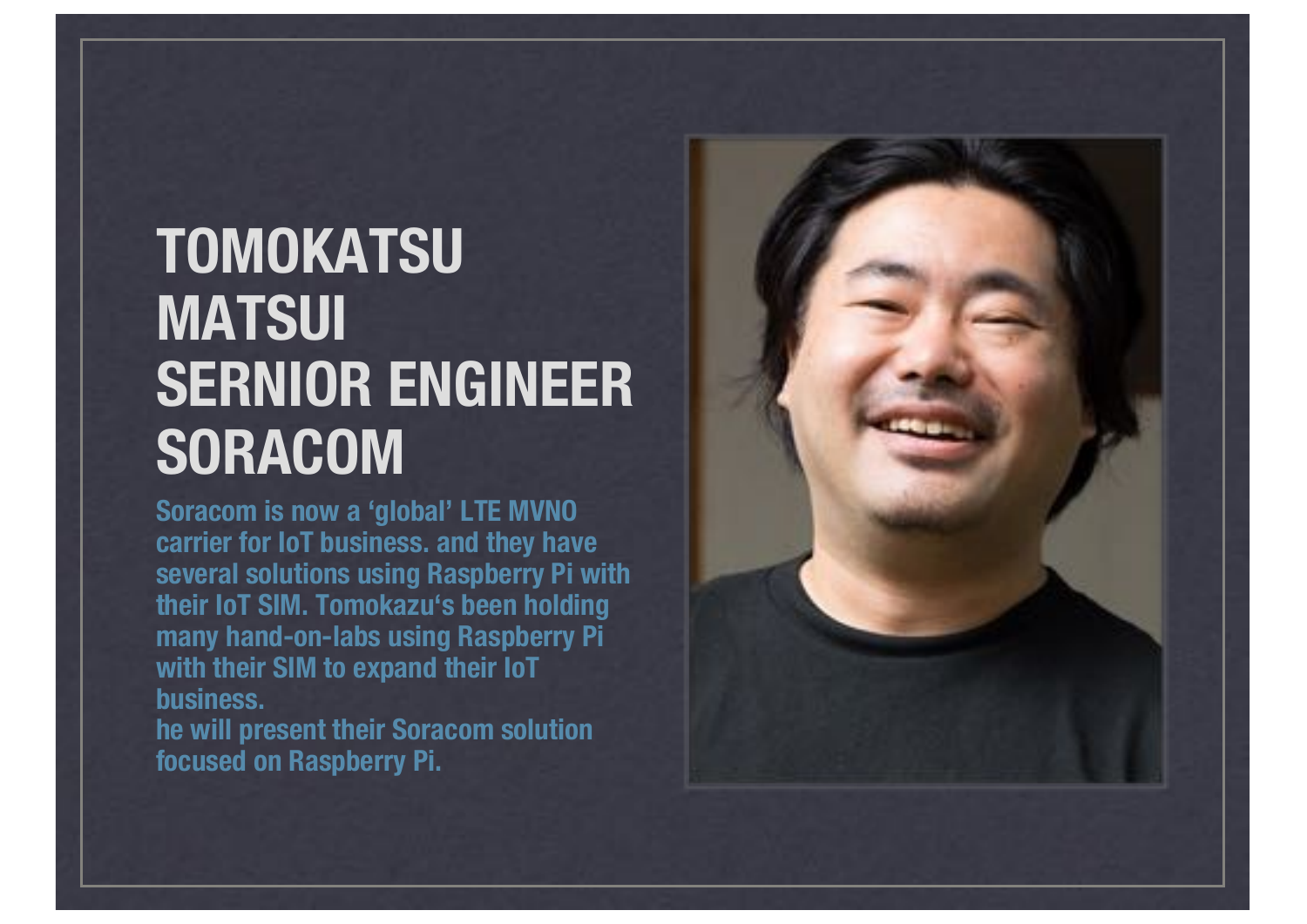### **TOMOKATSU MATSUI SERNIOR ENGINEER SORACOM**

**Soracom is now a 'global' LTE MVNO carrier for IoT business. and they have several solutions using Raspberry Pi with their IoT SIM. Tomokazu's been holding many hand-on-labs using Raspberry Pi with their SIM to expand their IoT business.**

**he will present their Soracom solution focused on Raspberry Pi.**

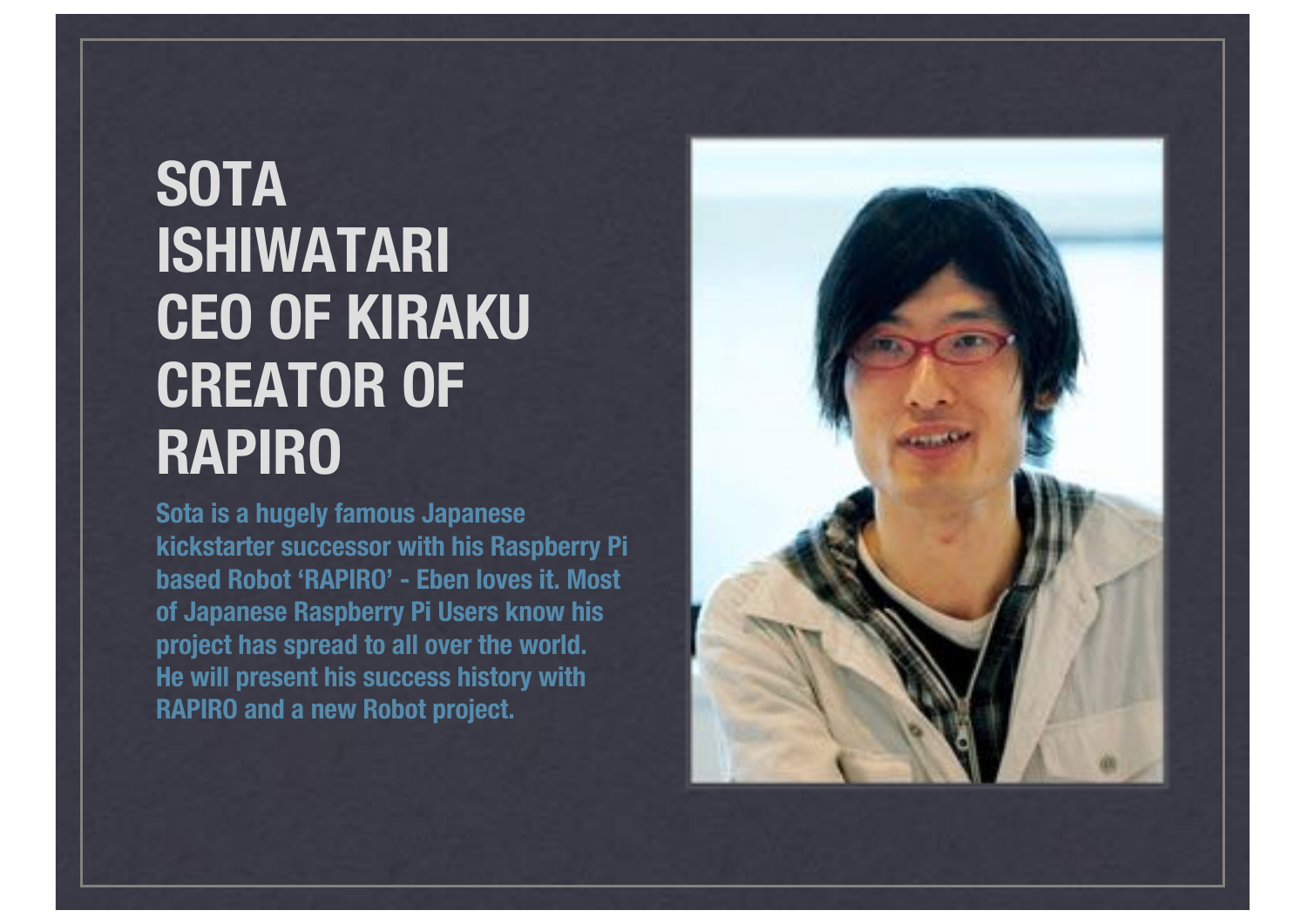### **SOTA ISHIWATARI CEO OF KIRAKU CREATOR OF RAPIRO**

**Sota is a hugely famous Japanese kickstarter successor with his Raspberry Pi based Robot 'RAPIRO' - Eben loves it. Most of Japanese Raspberry Pi Users know his project has spread to all over the world. He will present his success history with RAPIRO and a new Robot project.**

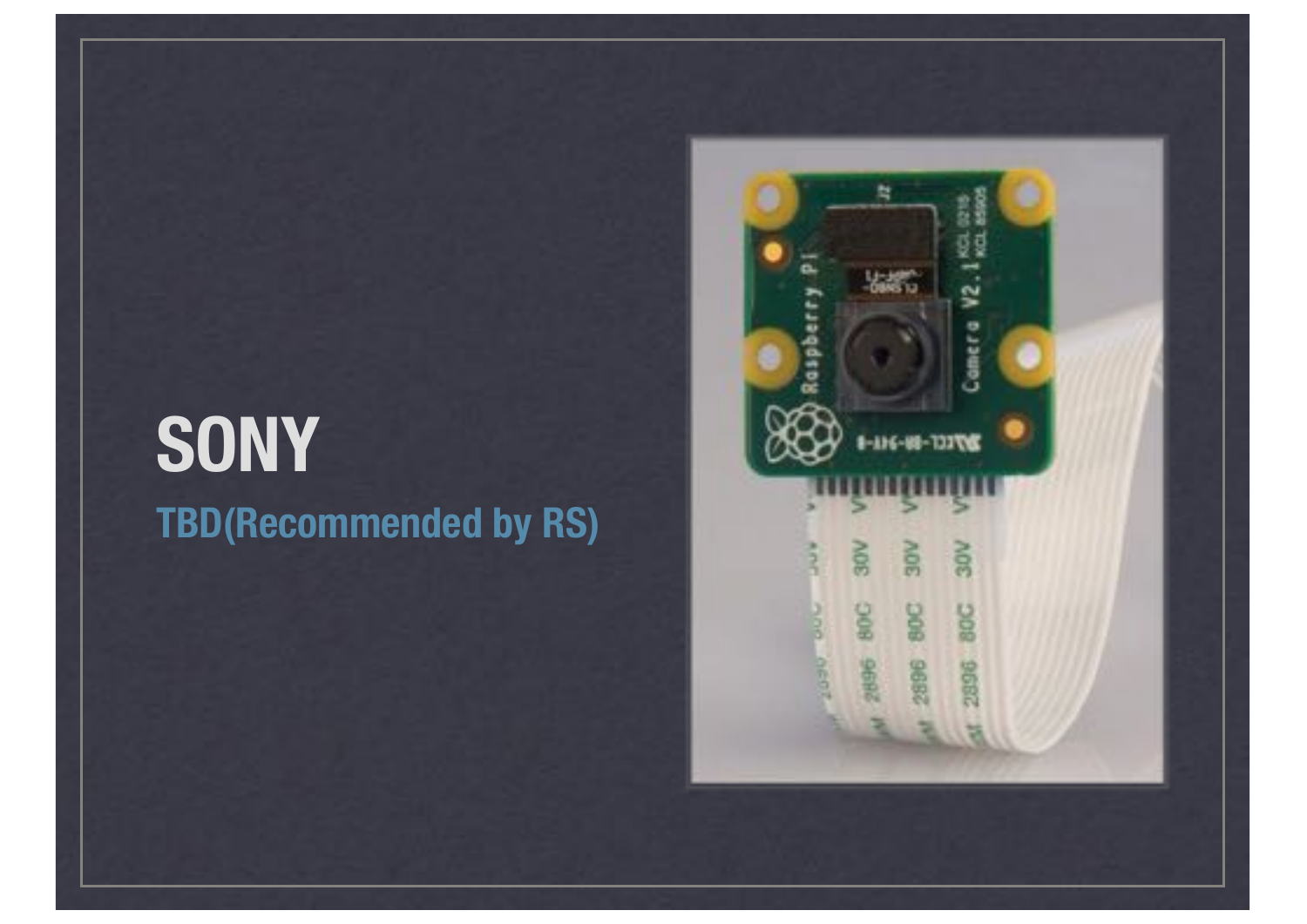### **SONY TBD(Recommended by RS)**

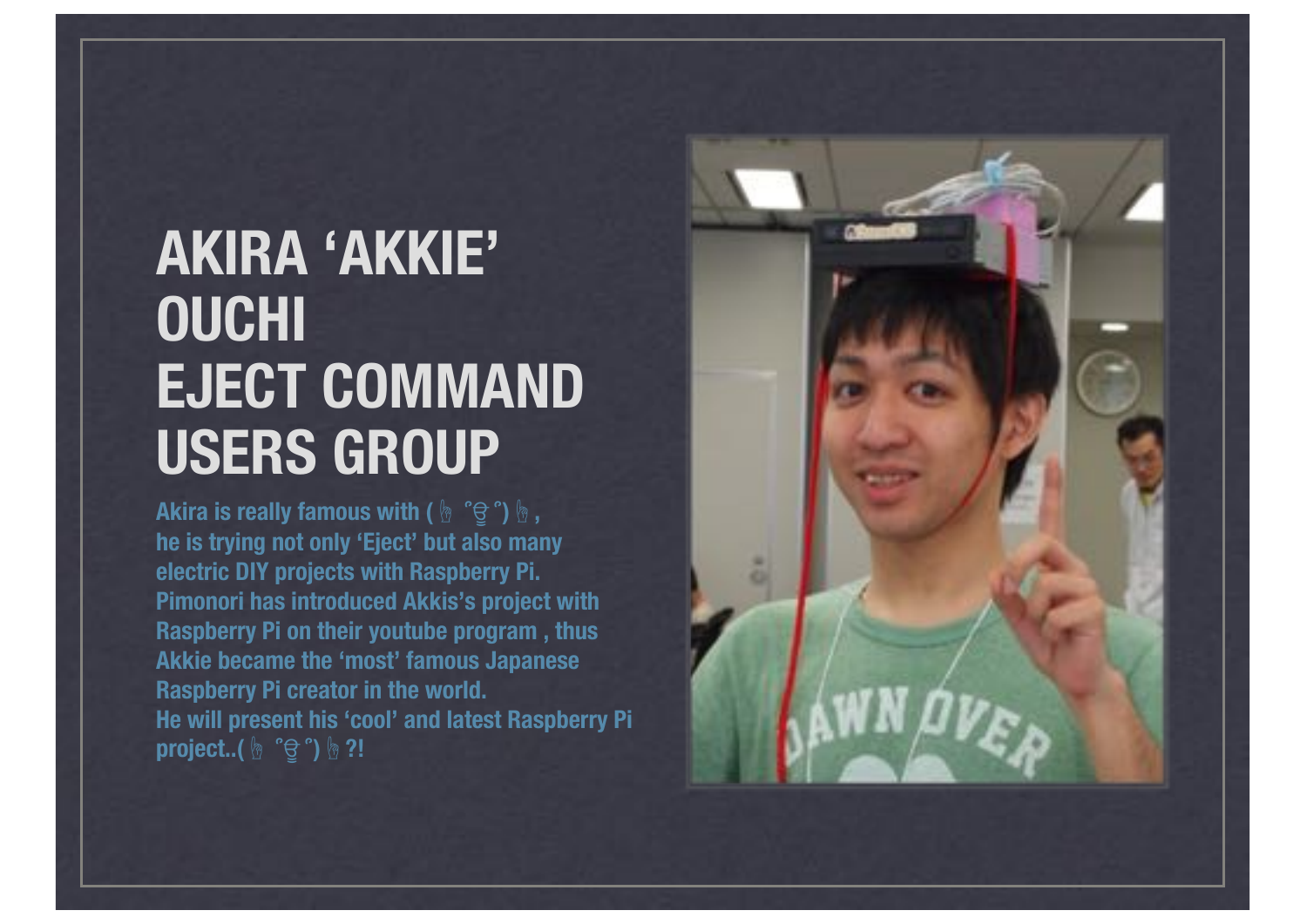#### **AKIRA 'AKKIE' OUCHI EJECT COMMAND USERS GROUP**

**Akira is really famous with (** ՞ਊ ՞**), he is trying not only 'Eject' but also many electric DIY projects with Raspberry Pi. Pimonori has introduced Akkis's project with Raspberry Pi on their youtube program , thus Akkie became the 'most' famous Japanese Raspberry Pi creator in the world. He will present his 'cool' and latest Raspberry Pi project..(** ՞ਊ ՞**)?!**

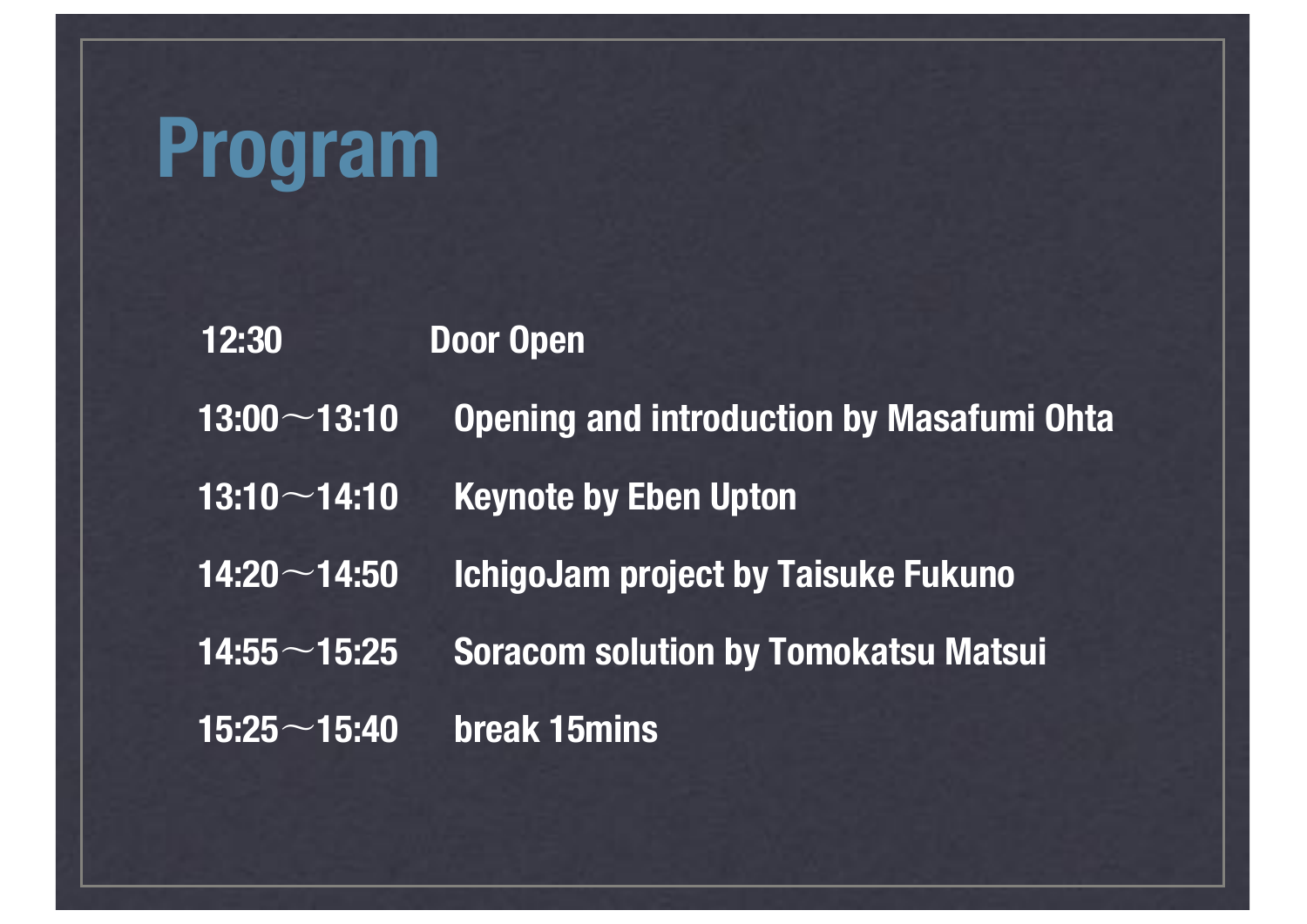## **Program**

| 12:30              | <b>Door Open</b>                                 |
|--------------------|--------------------------------------------------|
| $13:00 - 13:10$    | <b>Opening and introduction by Masafumi Ohta</b> |
| $13:10 - 14:10$    | <b>Keynote by Eben Upton</b>                     |
| $14:20\sim$ 14:50  | <b>IchigoJam project by Taisuke Fukuno</b>       |
| $14:55 \sim 15:25$ | <b>Soracom solution by Tomokatsu Matsui</b>      |
| $15:25 \sim 15:40$ | <b>break 15mins</b>                              |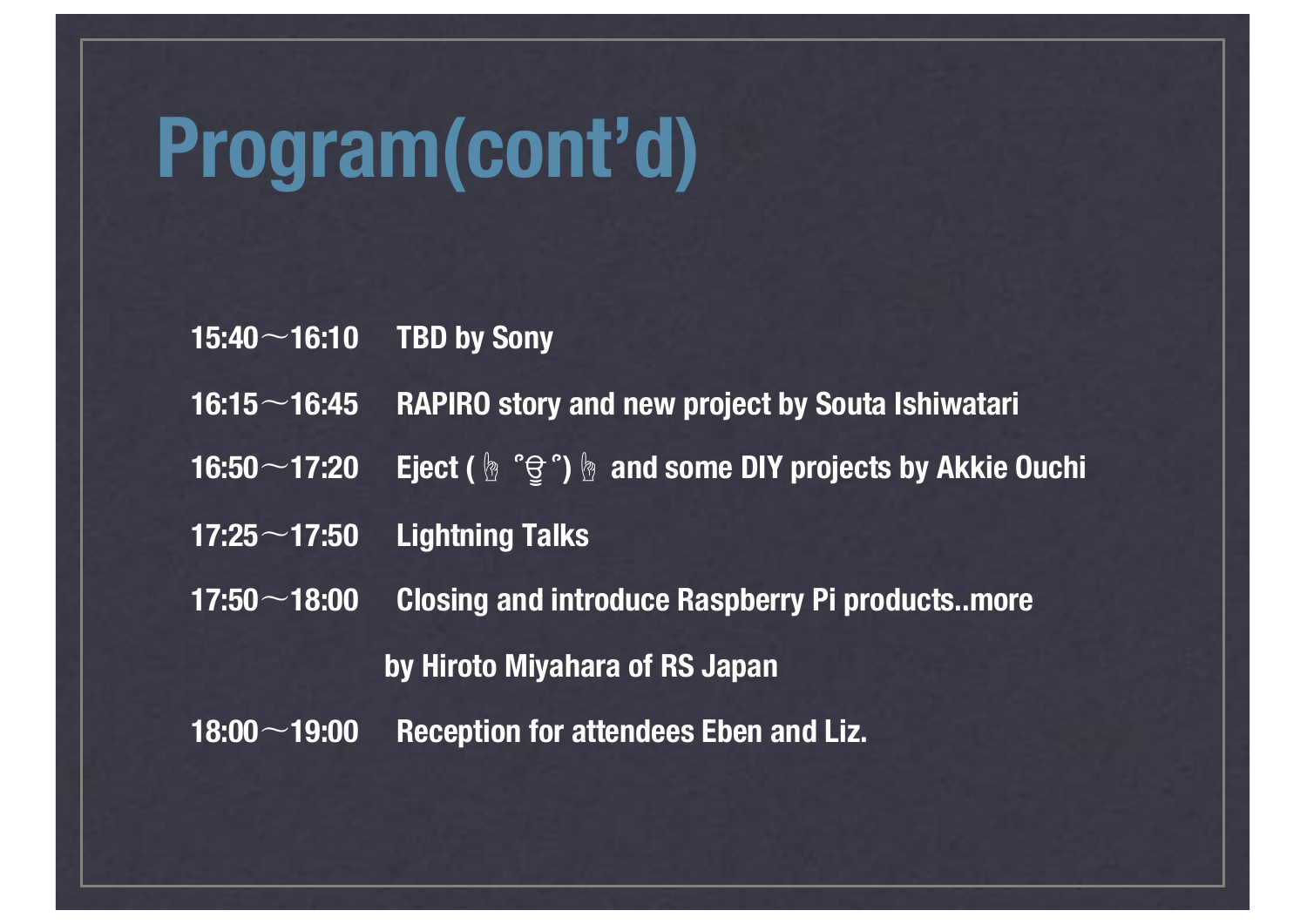# **Program(cont'd)**

|                                                      | 15:40 $\sim$ 16:10 TBD by Sony                                   |
|------------------------------------------------------|------------------------------------------------------------------|
| $16:15\!\sim\!16:45$                                 | <b>RAPIRO story and new project by Souta Ishiwatari</b>          |
| $16:50 - 17:20$                                      | <b>Eject ( @ "g") &amp; and some DIY projects by Akkie Ouchi</b> |
| $17:25 \sim 17:50$                                   | <b>Lightning Talks</b>                                           |
| $17:50\hspace{-0.08cm}\widehat{}\hspace{0.18cm}7:50$ | <b>Closing and introduce Raspberry Pi productsmore</b>           |
|                                                      | by Hiroto Miyahara of RS Japan                                   |
| $18:00 - 19:00$                                      | <b>Reception for attendees Eben and Liz.</b>                     |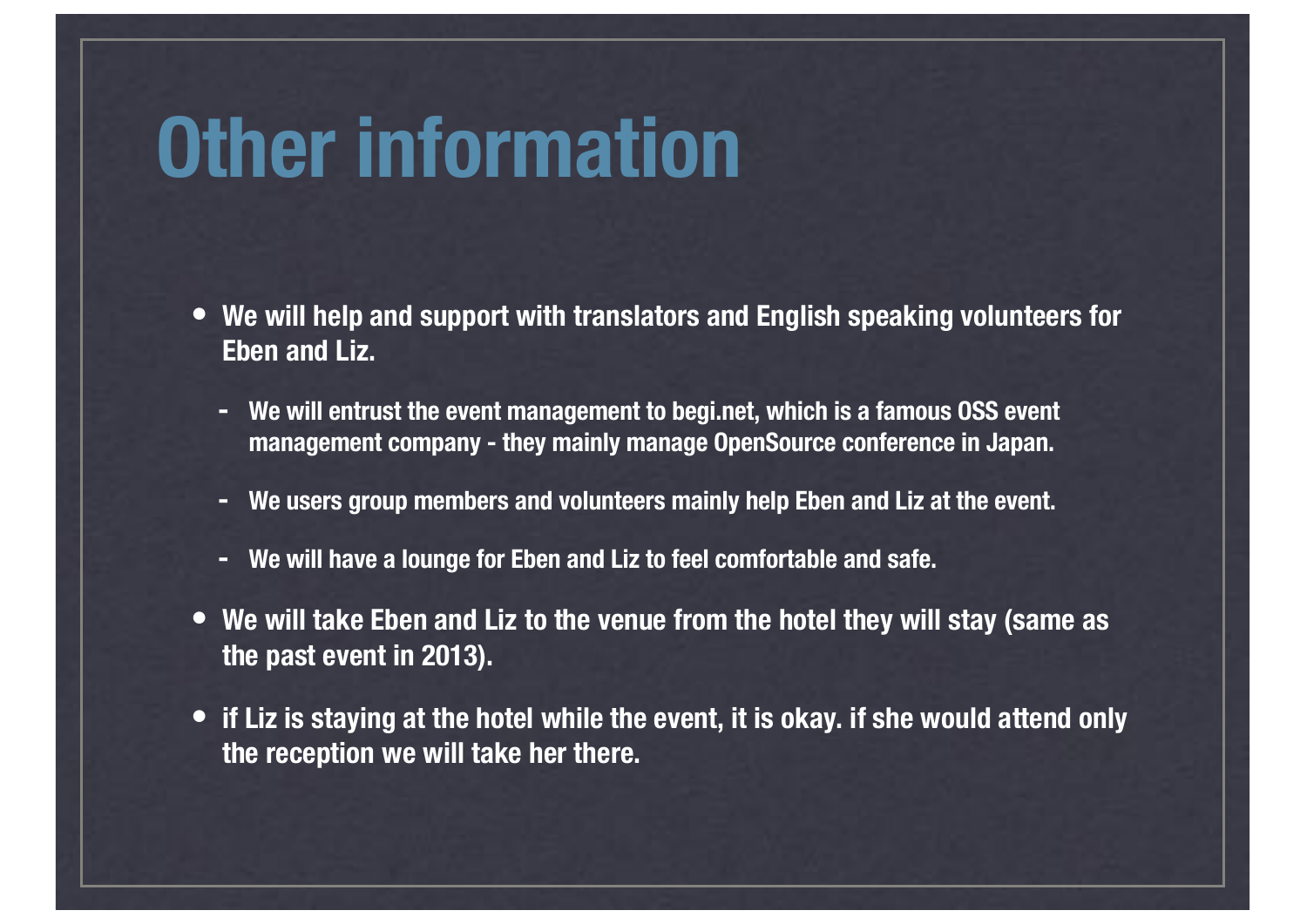### **Other information**

- **• We will help and support with translators and English speaking volunteers for Eben and Liz.**
	- **- We will entrust the event management to begi.net, which is a famous OSS event management company - they mainly manage OpenSource conference in Japan.**
	- **- We users group members and volunteers mainly help Eben and Liz at the event.**
	- **- We will have a lounge for Eben and Liz to feel comfortable and safe.**
- **• We will take Eben and Liz to the venue from the hotel they will stay (same as the past event in 2013).**
- **• if Liz is staying at the hotel while the event, it is okay. if she would attend only the reception we will take her there.**